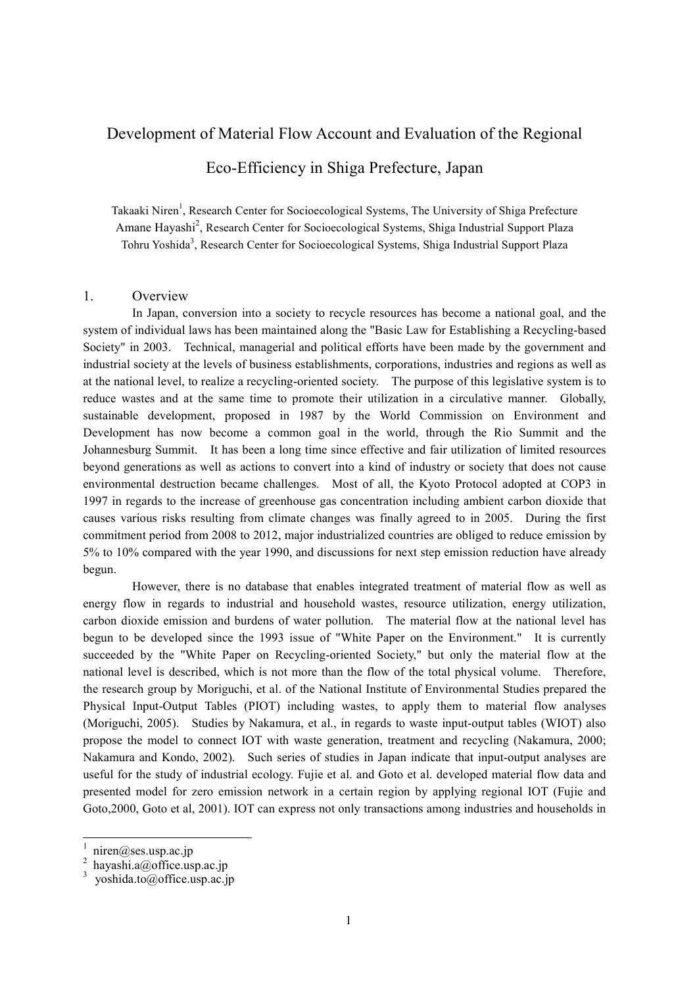# Development of Material Flow Account and Evaluation of the Regional

## Eco-Efficiency in Shiga Prefecture, Japan

Takaaki Niren<sup>1</sup>, Research Center for Socioecological Systems, The University of Shiga Prefecture Amane Hayashi<sup>2</sup>, Research Center for Socioecological Systems, Shiga Industrial Support Plaza Tohru Yoshida<sup>3</sup>, Research Center for Socioecological Systems, Shiga Industrial Support Plaza

### 1. Overview

In Japan, conversion into a society to recycle resources has become a national goal, and the system of individual laws has been maintained along the "Basic Law for Establishing a Recycling-based Society" in 2003. Technical, managerial and political efforts have been made by the government and industrial society at the levels of business establishments, corporations, industries and regions as well as at the national level, to realize a recycling-oriented society. The purpose of this legislative system is to reduce wastes and at the same time to promote their utilization in a circulative manner. Globally, sustainable development, proposed in 1987 by the World Commission on Environment and Development has now become a common goal in the world, through the Rio Summit and the Johannesburg Summit. It has been a long time since effective and fair utilization of limited resources beyond generations as well as actions to convert into a kind of industry or society that does not cause environmental destruction became challenges. Most of all, the Kyoto Protocol adopted at COP3 in 1997 in regards to the increase of greenhouse gas concentration including ambient carbon dioxide that causes various risks resulting from climate changes was finally agreed to in 2005. During the first commitment period from 2008 to 2012, major industrialized countries are obliged to reduce emission by 5% to 10% compared with the year 1990, and discussions for next step emission reduction have already begun.

However, there is no database that enables integrated treatment of material flow as well as energy flow in regards to industrial and household wastes, resource utilization, energy utilization, carbon dioxide emission and burdens of water pollution. The material flow at the national level has begun to be developed since the 1993 issue of "White Paper on the Environment." It is currently succeeded by the "White Paper on Recycling-oriented Society," but only the material flow at the national level is described, which is not more than the flow of the total physical volume. Therefore, the research group by Moriguchi, et al. of the National Institute of Environmental Studies prepared the Physical Input-Output Tables (PIOT) including wastes, to apply them to material flow analyses (Moriguchi, 2005). Studies by Nakamura, et al., in regards to waste input-output tables (WIOT) also propose the model to connect IOT with waste generation, treatment and recycling (Nakamura, 2000; Nakamura and Kondo, 2002). Such series of studies in Japan indicate that input-output analyses are useful for the study of industrial ecology. Fujie et al. and Goto et al. developed material flow data and presented model for zero emission network in a certain region by applying regional IOT (Fujie and Goto,2000, Goto et al, 2001). IOT can express not only transactions among industries and households in

 $\overline{1}$ 

<sup>1</sup> niren@ses.usp.ac.jp

<sup>2</sup> hayashi.a@office.usp.ac.jp

<sup>3</sup> yoshida.to@office.usp.ac.jp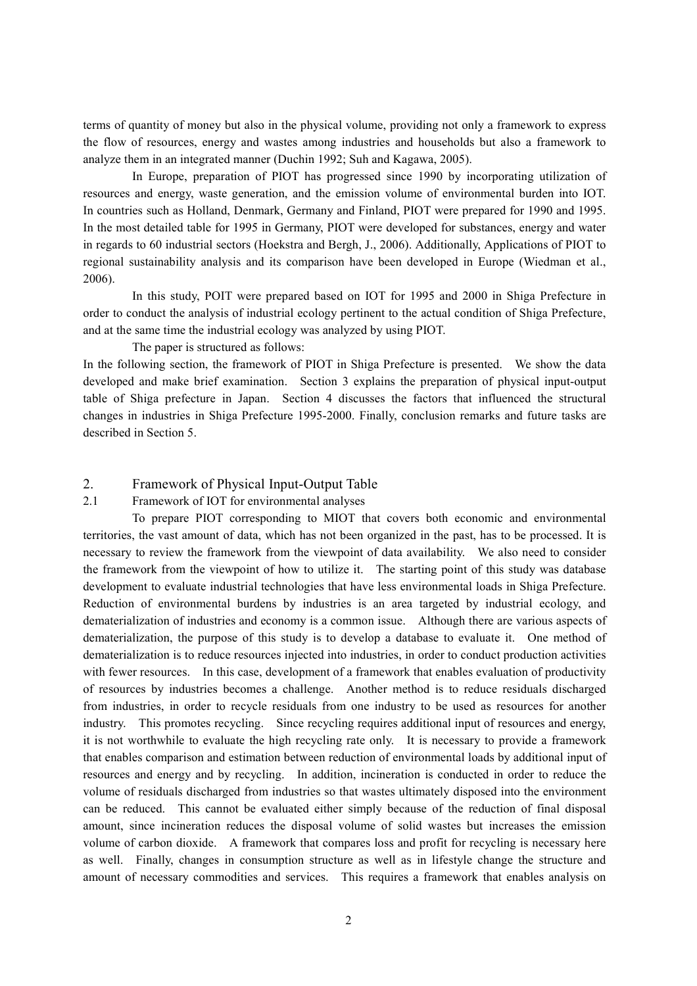terms of quantity of money but also in the physical volume, providing not only a framework to express the flow of resources, energy and wastes among industries and households but also a framework to analyze them in an integrated manner (Duchin 1992; Suh and Kagawa, 2005).

In Europe, preparation of PIOT has progressed since 1990 by incorporating utilization of resources and energy, waste generation, and the emission volume of environmental burden into IOT. In countries such as Holland, Denmark, Germany and Finland, PIOT were prepared for 1990 and 1995. In the most detailed table for 1995 in Germany, PIOT were developed for substances, energy and water in regards to 60 industrial sectors (Hoekstra and Bergh, J., 2006). Additionally, Applications of PIOT to regional sustainability analysis and its comparison have been developed in Europe (Wiedman et al., 2006).

In this study, POIT were prepared based on IOT for 1995 and 2000 in Shiga Prefecture in order to conduct the analysis of industrial ecology pertinent to the actual condition of Shiga Prefecture, and at the same time the industrial ecology was analyzed by using PIOT.

The paper is structured as follows:

In the following section, the framework of PIOT in Shiga Prefecture is presented. We show the data developed and make brief examination. Section 3 explains the preparation of physical input-output table of Shiga prefecture in Japan. Section 4 discusses the factors that influenced the structural changes in industries in Shiga Prefecture 1995-2000. Finally, conclusion remarks and future tasks are described in Section 5.

## 2. Framework of Physical Input-Output Table

#### 2.1 Framework of IOT for environmental analyses

To prepare PIOT corresponding to MIOT that covers both economic and environmental territories, the vast amount of data, which has not been organized in the past, has to be processed. It is necessary to review the framework from the viewpoint of data availability. We also need to consider the framework from the viewpoint of how to utilize it. The starting point of this study was database development to evaluate industrial technologies that have less environmental loads in Shiga Prefecture. Reduction of environmental burdens by industries is an area targeted by industrial ecology, and dematerialization of industries and economy is a common issue. Although there are various aspects of dematerialization, the purpose of this study is to develop a database to evaluate it. One method of dematerialization is to reduce resources injected into industries, in order to conduct production activities with fewer resources. In this case, development of a framework that enables evaluation of productivity of resources by industries becomes a challenge. Another method is to reduce residuals discharged from industries, in order to recycle residuals from one industry to be used as resources for another industry. This promotes recycling. Since recycling requires additional input of resources and energy, it is not worthwhile to evaluate the high recycling rate only. It is necessary to provide a framework that enables comparison and estimation between reduction of environmental loads by additional input of resources and energy and by recycling. In addition, incineration is conducted in order to reduce the volume of residuals discharged from industries so that wastes ultimately disposed into the environment can be reduced. This cannot be evaluated either simply because of the reduction of final disposal amount, since incineration reduces the disposal volume of solid wastes but increases the emission volume of carbon dioxide. A framework that compares loss and profit for recycling is necessary here as well. Finally, changes in consumption structure as well as in lifestyle change the structure and amount of necessary commodities and services. This requires a framework that enables analysis on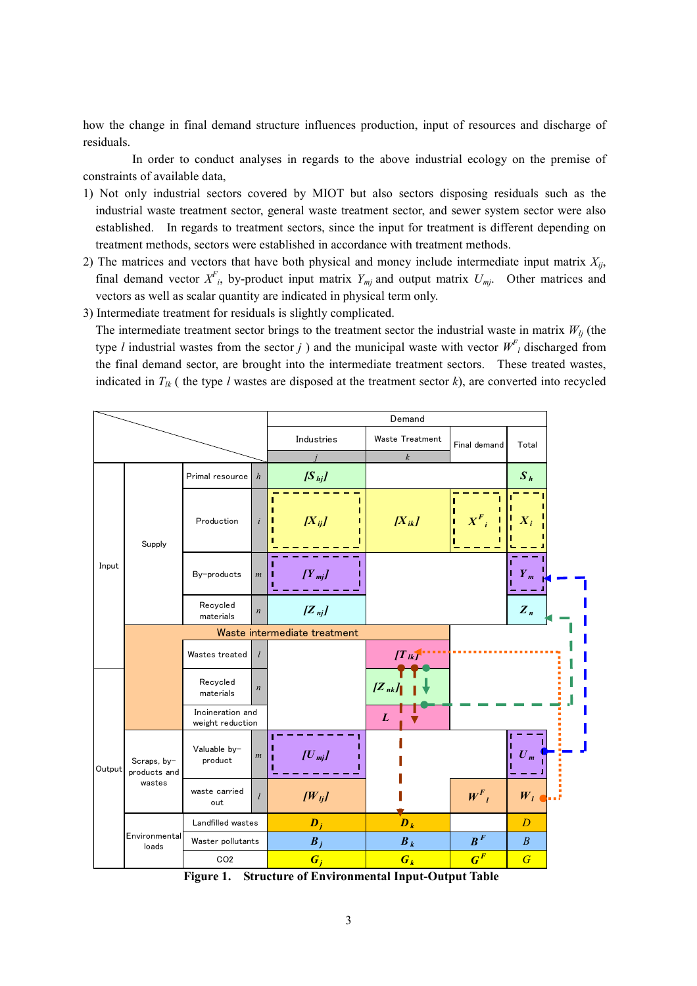how the change in final demand structure influences production, input of resources and discharge of residuals.

In order to conduct analyses in regards to the above industrial ecology on the premise of constraints of available data,

- 1) Not only industrial sectors covered by MIOT but also sectors disposing residuals such as the industrial waste treatment sector, general waste treatment sector, and sewer system sector were also established. In regards to treatment sectors, since the input for treatment is different depending on treatment methods, sectors were established in accordance with treatment methods.
- 2) The matrices and vectors that have both physical and money include intermediate input matrix  $X_{ii}$ , final demand vector  $X^F$ , by-product input matrix  $Y_{mj}$  and output matrix  $U_{mj}$ . Other matrices and vectors as well as scalar quantity are indicated in physical term only.
- 3) Intermediate treatment for residuals is slightly complicated.

The intermediate treatment sector brings to the treatment sector the industrial waste in matrix  $W_{li}$  (the type *l* industrial wastes from the sector *j*) and the municipal waste with vector  $W^{F}_{l}$  discharged from the final demand sector, are brought into the intermediate treatment sectors. These treated wastes, indicated in  $T_{lk}$  (the type l wastes are disposed at the treatment sector k), are converted into recycled



Figure 1. Structure of Environmental Input-Output Table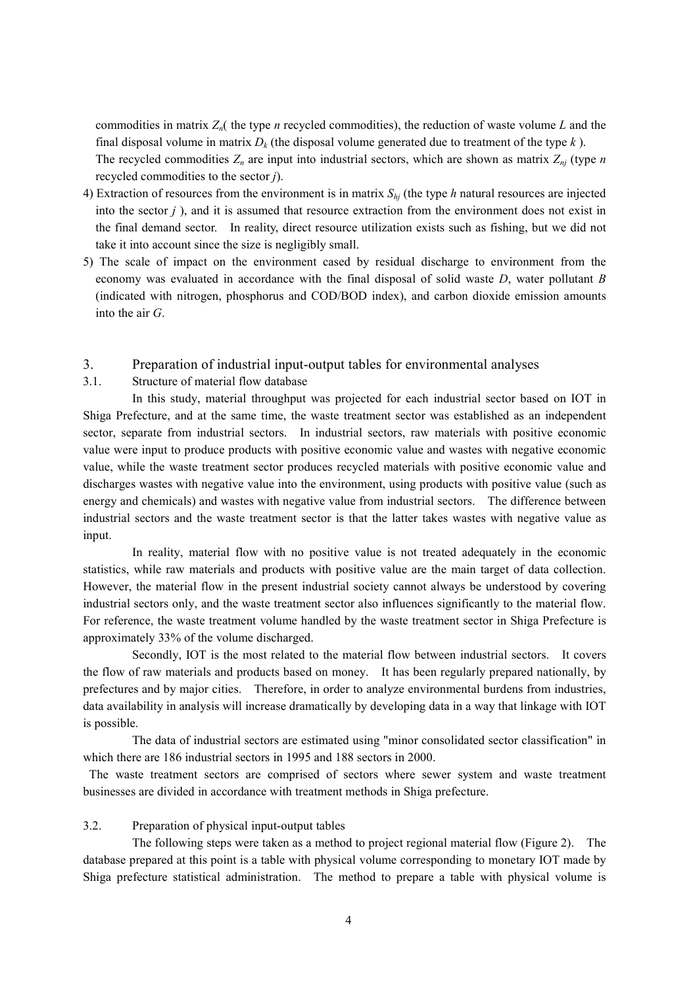commodities in matrix  $Z_n$  (the type *n* recycled commodities), the reduction of waste volume L and the final disposal volume in matrix  $D_k$  (the disposal volume generated due to treatment of the type k). The recycled commodities  $Z_n$  are input into industrial sectors, which are shown as matrix  $Z_{ni}$  (type n recycled commodities to the sector j).

- 4) Extraction of resources from the environment is in matrix  $S_{hi}$  (the type h natural resources are injected into the sector  $j$ ), and it is assumed that resource extraction from the environment does not exist in the final demand sector. In reality, direct resource utilization exists such as fishing, but we did not take it into account since the size is negligibly small.
- 5) The scale of impact on the environment cased by residual discharge to environment from the economy was evaluated in accordance with the final disposal of solid waste  $D$ , water pollutant  $B$ (indicated with nitrogen, phosphorus and COD/BOD index), and carbon dioxide emission amounts into the air G.
- 3. Preparation of industrial input-output tables for environmental analyses
- 3.1. Structure of material flow database

In this study, material throughput was projected for each industrial sector based on IOT in Shiga Prefecture, and at the same time, the waste treatment sector was established as an independent sector, separate from industrial sectors. In industrial sectors, raw materials with positive economic value were input to produce products with positive economic value and wastes with negative economic value, while the waste treatment sector produces recycled materials with positive economic value and discharges wastes with negative value into the environment, using products with positive value (such as energy and chemicals) and wastes with negative value from industrial sectors. The difference between industrial sectors and the waste treatment sector is that the latter takes wastes with negative value as input.

In reality, material flow with no positive value is not treated adequately in the economic statistics, while raw materials and products with positive value are the main target of data collection. However, the material flow in the present industrial society cannot always be understood by covering industrial sectors only, and the waste treatment sector also influences significantly to the material flow. For reference, the waste treatment volume handled by the waste treatment sector in Shiga Prefecture is approximately 33% of the volume discharged.

Secondly, IOT is the most related to the material flow between industrial sectors. It covers the flow of raw materials and products based on money. It has been regularly prepared nationally, by prefectures and by major cities. Therefore, in order to analyze environmental burdens from industries, data availability in analysis will increase dramatically by developing data in a way that linkage with IOT is possible.

The data of industrial sectors are estimated using "minor consolidated sector classification" in which there are 186 industrial sectors in 1995 and 188 sectors in 2000.

 The waste treatment sectors are comprised of sectors where sewer system and waste treatment businesses are divided in accordance with treatment methods in Shiga prefecture.

#### 3.2. Preparation of physical input-output tables

The following steps were taken as a method to project regional material flow (Figure 2). The database prepared at this point is a table with physical volume corresponding to monetary IOT made by Shiga prefecture statistical administration. The method to prepare a table with physical volume is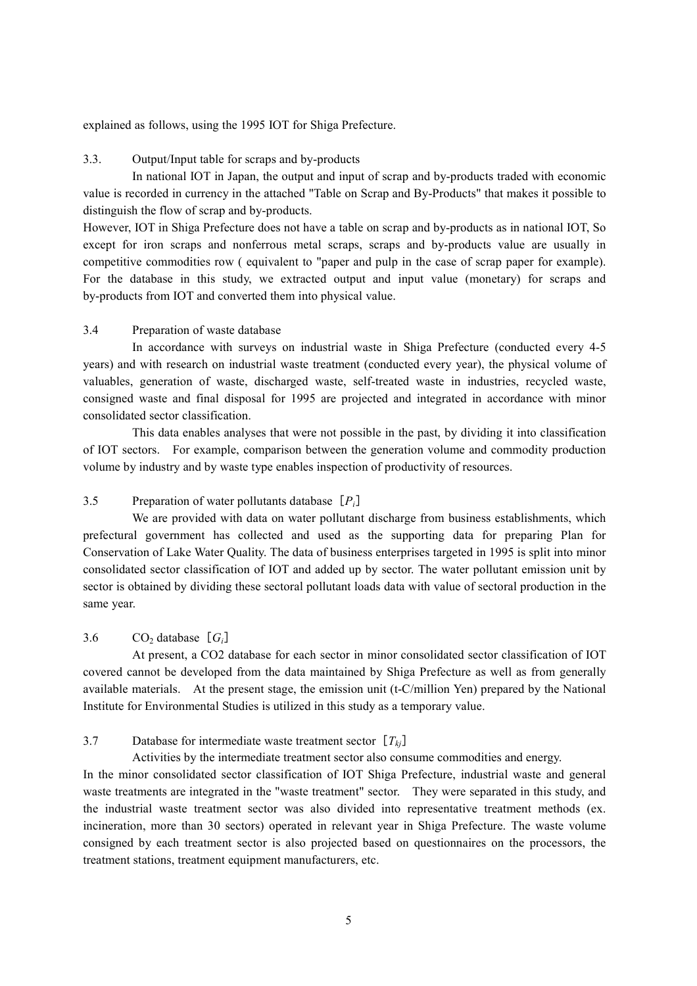explained as follows, using the 1995 IOT for Shiga Prefecture.

## 3.3. Output/Input table for scraps and by-products

In national IOT in Japan, the output and input of scrap and by-products traded with economic value is recorded in currency in the attached "Table on Scrap and By-Products" that makes it possible to distinguish the flow of scrap and by-products.

However, IOT in Shiga Prefecture does not have a table on scrap and by-products as in national IOT, So except for iron scraps and nonferrous metal scraps, scraps and by-products value are usually in competitive commodities row ( equivalent to "paper and pulp in the case of scrap paper for example). For the database in this study, we extracted output and input value (monetary) for scraps and by-products from IOT and converted them into physical value.

## 3.4 Preparation of waste database

In accordance with surveys on industrial waste in Shiga Prefecture (conducted every 4-5 years) and with research on industrial waste treatment (conducted every year), the physical volume of valuables, generation of waste, discharged waste, self-treated waste in industries, recycled waste, consigned waste and final disposal for 1995 are projected and integrated in accordance with minor consolidated sector classification.

This data enables analyses that were not possible in the past, by dividing it into classification of IOT sectors. For example, comparison between the generation volume and commodity production volume by industry and by waste type enables inspection of productivity of resources.

## 3.5 Preparation of water pollutants database  $[P_i]$

We are provided with data on water pollutant discharge from business establishments, which prefectural government has collected and used as the supporting data for preparing Plan for Conservation of Lake Water Quality. The data of business enterprises targeted in 1995 is split into minor consolidated sector classification of IOT and added up by sector. The water pollutant emission unit by sector is obtained by dividing these sectoral pollutant loads data with value of sectoral production in the same year.

## 3.6 CO<sub>2</sub> database  $[G_i]$

At present, a CO2 database for each sector in minor consolidated sector classification of IOT covered cannot be developed from the data maintained by Shiga Prefecture as well as from generally available materials. At the present stage, the emission unit (t-C/million Yen) prepared by the National Institute for Environmental Studies is utilized in this study as a temporary value.

## 3.7 Database for intermediate waste treatment sector  $[T_{ki}]$

treatment stations, treatment equipment manufacturers, etc.

Activities by the intermediate treatment sector also consume commodities and energy. In the minor consolidated sector classification of IOT Shiga Prefecture, industrial waste and general waste treatments are integrated in the "waste treatment" sector. They were separated in this study, and the industrial waste treatment sector was also divided into representative treatment methods (ex. incineration, more than 30 sectors) operated in relevant year in Shiga Prefecture. The waste volume consigned by each treatment sector is also projected based on questionnaires on the processors, the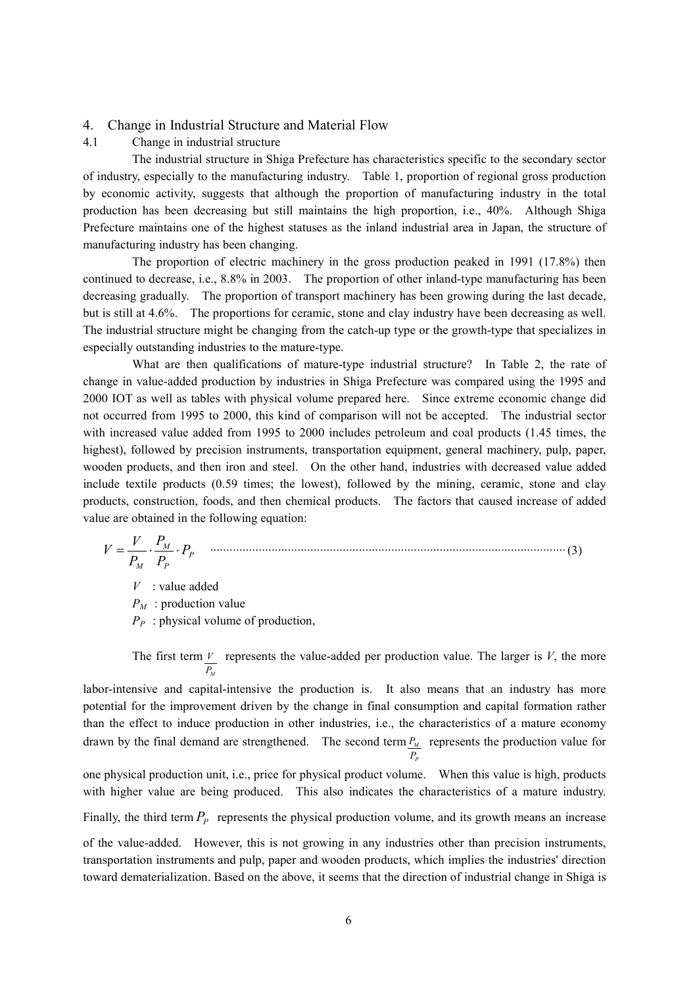#### 4. Change in Industrial Structure and Material Flow

4.1 Change in industrial structure

The industrial structure in Shiga Prefecture has characteristics specific to the secondary sector of industry, especially to the manufacturing industry. Table 1, proportion of regional gross production by economic activity, suggests that although the proportion of manufacturing industry in the total production has been decreasing but still maintains the high proportion, i.e., 40%. Although Shiga Prefecture maintains one of the highest statuses as the inland industrial area in Japan, the structure of manufacturing industry has been changing.

The proportion of electric machinery in the gross production peaked in 1991 (17.8%) then continued to decrease, i.e., 8.8% in 2003. The proportion of other inland-type manufacturing has been decreasing gradually. The proportion of transport machinery has been growing during the last decade, but is still at 4.6%. The proportions for ceramic, stone and clay industry have been decreasing as well. The industrial structure might be changing from the catch-up type or the growth-type that specializes in especially outstanding industries to the mature-type.

What are then qualifications of mature-type industrial structure? In Table 2, the rate of change in value-added production by industries in Shiga Prefecture was compared using the 1995 and 2000 IOT as well as tables with physical volume prepared here. Since extreme economic change did not occurred from 1995 to 2000, this kind of comparison will not be accepted. The industrial sector with increased value added from 1995 to 2000 includes petroleum and coal products (1.45 times, the highest), followed by precision instruments, transportation equipment, general machinery, pulp, paper, wooden products, and then iron and steel. On the other hand, industries with decreased value added include textile products (0.59 times; the lowest), followed by the mining, ceramic, stone and clay products, construction, foods, and then chemical products. The factors that caused increase of added value are obtained in the following equation:

$$
V = \frac{V}{P_M} \cdot \frac{P_M}{P_P} \cdot P_P \quad \dots \tag{3}
$$

 $V$ : value added  $P_M$ : production value  $P_P$ : physical volume of production,

The first term  $P_{\scriptscriptstyle M}$  $V$  represents the value-added per production value. The larger is V, the more

labor-intensive and capital-intensive the production is. It also means that an industry has more potential for the improvement driven by the change in final consumption and capital formation rather than the effect to induce production in other industries, i.e., the characteristics of a mature economy drawn by the final demand are strengthened. The second term  $P_M$  represents the production value for P P

one physical production unit, i.e., price for physical product volume. When this value is high, products with higher value are being produced. This also indicates the characteristics of a mature industry.

Finally, the third term  $P_p$  represents the physical production volume, and its growth means an increase

of the value-added. However, this is not growing in any industries other than precision instruments, transportation instruments and pulp, paper and wooden products, which implies the industries' direction toward dematerialization. Based on the above, it seems that the direction of industrial change in Shiga is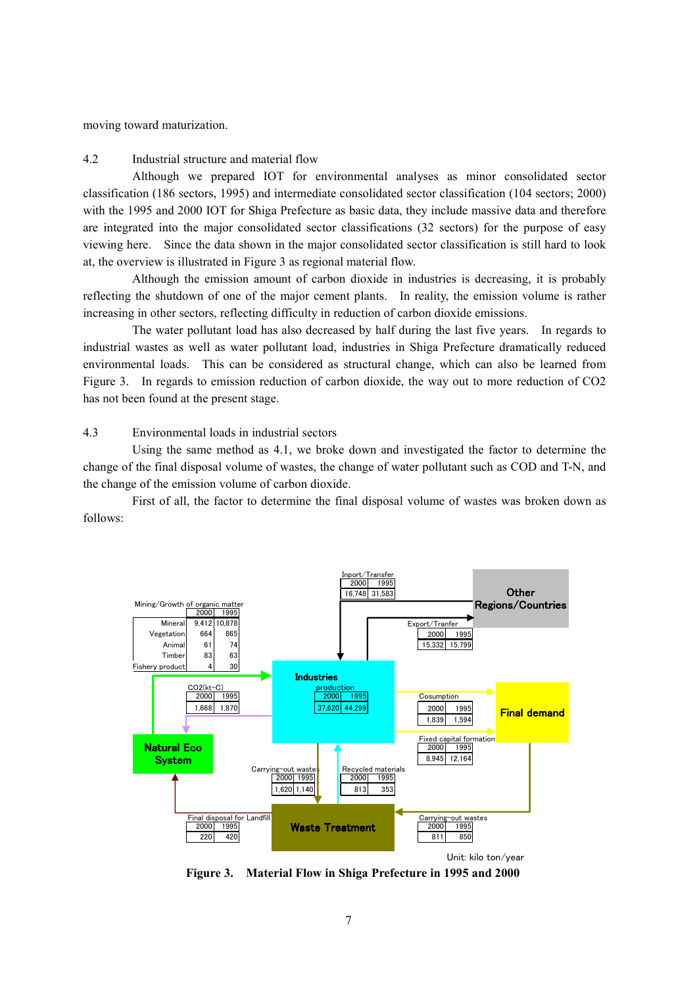moving toward maturization.

#### 4.2 Industrial structure and material flow

Although we prepared IOT for environmental analyses as minor consolidated sector classification (186 sectors, 1995) and intermediate consolidated sector classification (104 sectors; 2000) with the 1995 and 2000 IOT for Shiga Prefecture as basic data, they include massive data and therefore are integrated into the major consolidated sector classifications (32 sectors) for the purpose of easy viewing here. Since the data shown in the major consolidated sector classification is still hard to look at, the overview is illustrated in Figure 3 as regional material flow.

Although the emission amount of carbon dioxide in industries is decreasing, it is probably reflecting the shutdown of one of the major cement plants. In reality, the emission volume is rather increasing in other sectors, reflecting difficulty in reduction of carbon dioxide emissions.

The water pollutant load has also decreased by half during the last five years. In regards to industrial wastes as well as water pollutant load, industries in Shiga Prefecture dramatically reduced environmental loads. This can be considered as structural change, which can also be learned from Figure 3. In regards to emission reduction of carbon dioxide, the way out to more reduction of CO2 has not been found at the present stage.

#### 4.3 Environmental loads in industrial sectors

Using the same method as 4.1, we broke down and investigated the factor to determine the change of the final disposal volume of wastes, the change of water pollutant such as COD and T-N, and the change of the emission volume of carbon dioxide.

First of all, the factor to determine the final disposal volume of wastes was broken down as follows:



Figure 3. Material Flow in Shiga Prefecture in 1995 and 2000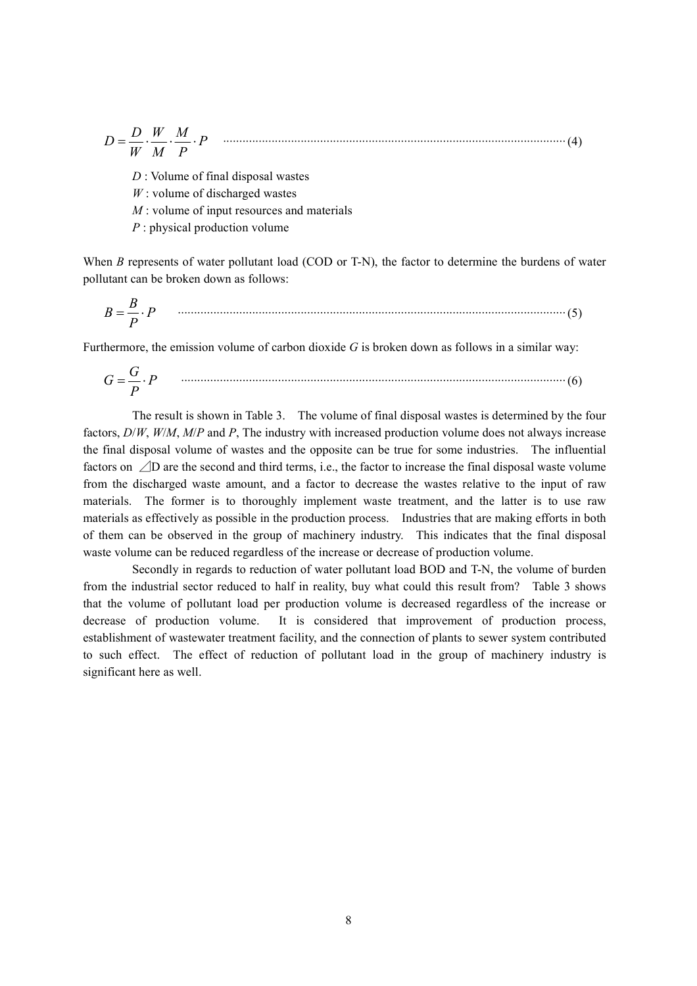$$
D = \frac{D}{W} \cdot \frac{W}{M} \cdot \frac{M}{P} \cdot P \quad \text{(1)} \quad (4)
$$

 $D$ : Volume of final disposal wastes

- $W$ : volume of discharged wastes
- $M$ : volume of input resources and materials
- P : physical production volume

When B represents of water pollutant load (COD or T-N), the factor to determine the burdens of water pollutant can be broken down as follows:

$$
B = \frac{B}{P} \cdot P \tag{5}
$$

Furthermore, the emission volume of carbon dioxide  $G$  is broken down as follows in a similar way:

$$
G = \frac{G}{P} \cdot P \tag{6}
$$

The result is shown in Table 3. The volume of final disposal wastes is determined by the four factors,  $D/W$ ,  $W/M$ ,  $M/P$  and P, The industry with increased production volume does not always increase the final disposal volume of wastes and the opposite can be true for some industries. The influential factors on ⊿D are the second and third terms, i.e., the factor to increase the final disposal waste volume from the discharged waste amount, and a factor to decrease the wastes relative to the input of raw materials. The former is to thoroughly implement waste treatment, and the latter is to use raw materials as effectively as possible in the production process. Industries that are making efforts in both of them can be observed in the group of machinery industry. This indicates that the final disposal waste volume can be reduced regardless of the increase or decrease of production volume.

Secondly in regards to reduction of water pollutant load BOD and T-N, the volume of burden from the industrial sector reduced to half in reality, buy what could this result from? Table 3 shows that the volume of pollutant load per production volume is decreased regardless of the increase or decrease of production volume. It is considered that improvement of production process, establishment of wastewater treatment facility, and the connection of plants to sewer system contributed to such effect. The effect of reduction of pollutant load in the group of machinery industry is significant here as well.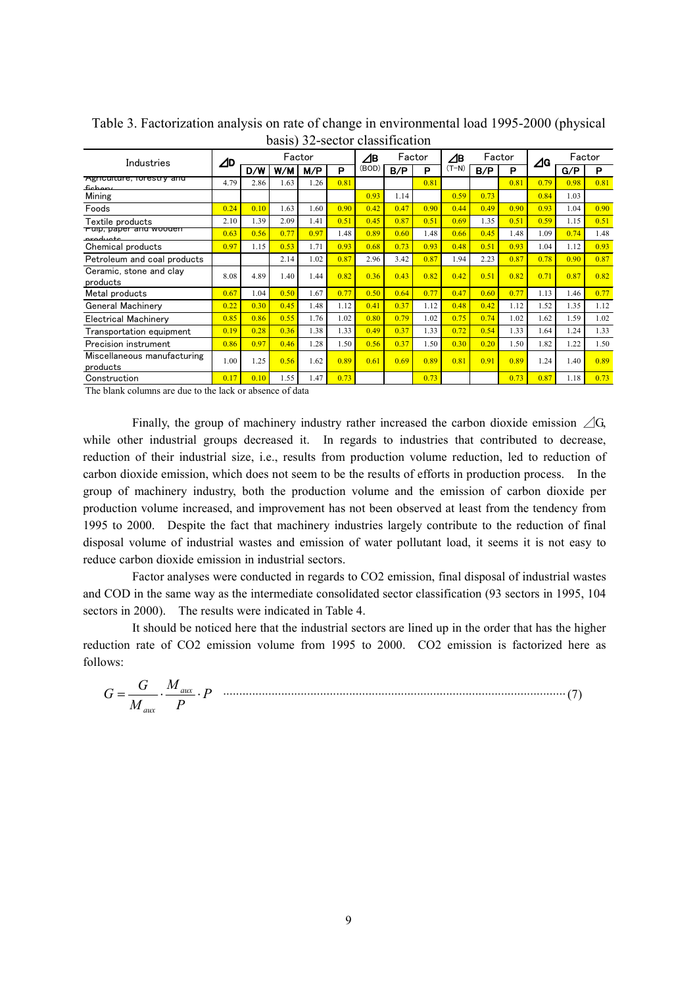| Industries                              | $\Delta$ D | Factor |      |      |      | ⊿в    | Factor |      | ⊿в      | Factor |      | ⊿G   | Factor |      |
|-----------------------------------------|------------|--------|------|------|------|-------|--------|------|---------|--------|------|------|--------|------|
|                                         |            | D/W    | W/M  | M/P  | P    | (BOD) | B/P    | P    | $(T-N)$ | B/P    | P    |      | G/P    | P    |
| Agriculture, forestry and<br>يصمطمئه    | 4.79       | 2.86   | 1.63 | 1.26 | 0.81 |       |        | 0.81 |         |        | 0.81 | 0.79 | 0.98   | 0.81 |
| Mining                                  |            |        |      |      |      | 0.93  | 1.14   |      | 0.59    | 0.73   |      | 0.84 | 1.03   |      |
| Foods                                   | 0.24       | 0.10   | 1.63 | 1.60 | 0.90 | 0.42  | 0.47   | 0.90 | 0.44    | 0.49   | 0.90 | 0.93 | 1.04   | 0.90 |
| Textile products                        | 2.10       | 1.39   | 2.09 | 1.41 | 0.51 | 0.45  | 0.87   | 0.51 | 0.69    | 1.35   | 0.51 | 0.59 | 1.15   | 0.51 |
| Puip, paper and wooden<br>مغمبياه معيم  | 0.63       | 0.56   | 0.77 | 0.97 | 1.48 | 0.89  | 0.60   | 1.48 | 0.66    | 0.45   | 1.48 | 1.09 | 0.74   | 1.48 |
| Chemical products                       | 0.97       | 1.15   | 0.53 | 1.71 | 0.93 | 0.68  | 0.73   | 0.93 | 0.48    | 0.51   | 0.93 | 1.04 | 1.12   | 0.93 |
| Petroleum and coal products             |            |        | 2.14 | 1.02 | 0.87 | 2.96  | 3.42   | 0.87 | 1.94    | 2.23   | 0.87 | 0.78 | 0.90   | 0.87 |
| Ceramic, stone and clay<br>products     | 8.08       | 4.89   | 1.40 | 1.44 | 0.82 | 0.36  | 0.43   | 0.82 | 0.42    | 0.51   | 0.82 | 0.71 | 0.87   | 0.82 |
| Metal products                          | 0.67       | 1.04   | 0.50 | 1.67 | 0.77 | 0.50  | 0.64   | 0.77 | 0.47    | 0.60   | 0.77 | 1.13 | 1.46   | 0.77 |
| General Machinery                       | 0.22       | 0.30   | 0.45 | 1.48 | 1.12 | 0.41  | 0.37   | 1.12 | 0.48    | 0.42   | 1.12 | 1.52 | 1.35   | 1.12 |
| Electrical Machinery                    | 0.85       | 0.86   | 0.55 | 1.76 | 1.02 | 0.80  | 0.79   | 1.02 | 0.75    | 0.74   | 1.02 | 1.62 | 1.59   | 1.02 |
| Transportation equipment                | 0.19       | 0.28   | 0.36 | 1.38 | 1.33 | 0.49  | 0.37   | 1.33 | 0.72    | 0.54   | 1.33 | 1.64 | 1.24   | 1.33 |
| Precision instrument                    | 0.86       | 0.97   | 0.46 | 1.28 | 1.50 | 0.56  | 0.37   | 1.50 | 0.30    | 0.20   | 1.50 | 1.82 | 1.22   | 1.50 |
| Miscellaneous manufacturing<br>products | 1.00       | 1.25   | 0.56 | 1.62 | 0.89 | 0.61  | 0.69   | 0.89 | 0.81    | 0.91   | 0.89 | 1.24 | 1.40   | 0.89 |
| Construction                            | 0.17       | 0.10   | 1.55 | 1.47 | 0.73 |       |        | 0.73 |         |        | 0.73 | 0.87 | 1.18   | 0.73 |

Table 3. Factorization analysis on rate of change in environmental load 1995-2000 (physical basis) 32-sector classification

The blank columns are due to the lack or absence of data

Finally, the group of machinery industry rather increased the carbon dioxide emission  $\angle$ G, while other industrial groups decreased it. In regards to industries that contributed to decrease, reduction of their industrial size, i.e., results from production volume reduction, led to reduction of carbon dioxide emission, which does not seem to be the results of efforts in production process. In the group of machinery industry, both the production volume and the emission of carbon dioxide per production volume increased, and improvement has not been observed at least from the tendency from 1995 to 2000. Despite the fact that machinery industries largely contribute to the reduction of final disposal volume of industrial wastes and emission of water pollutant load, it seems it is not easy to reduce carbon dioxide emission in industrial sectors.

Factor analyses were conducted in regards to CO2 emission, final disposal of industrial wastes and COD in the same way as the intermediate consolidated sector classification (93 sectors in 1995, 104 sectors in 2000). The results were indicated in Table 4.

It should be noticed here that the industrial sectors are lined up in the order that has the higher reduction rate of CO2 emission volume from 1995 to 2000. CO2 emission is factorized here as follows:

$$
G = \frac{G}{M_{\text{aux}}} \cdot \frac{M_{\text{aux}}}{P} \cdot P \quad \dots \tag{7}
$$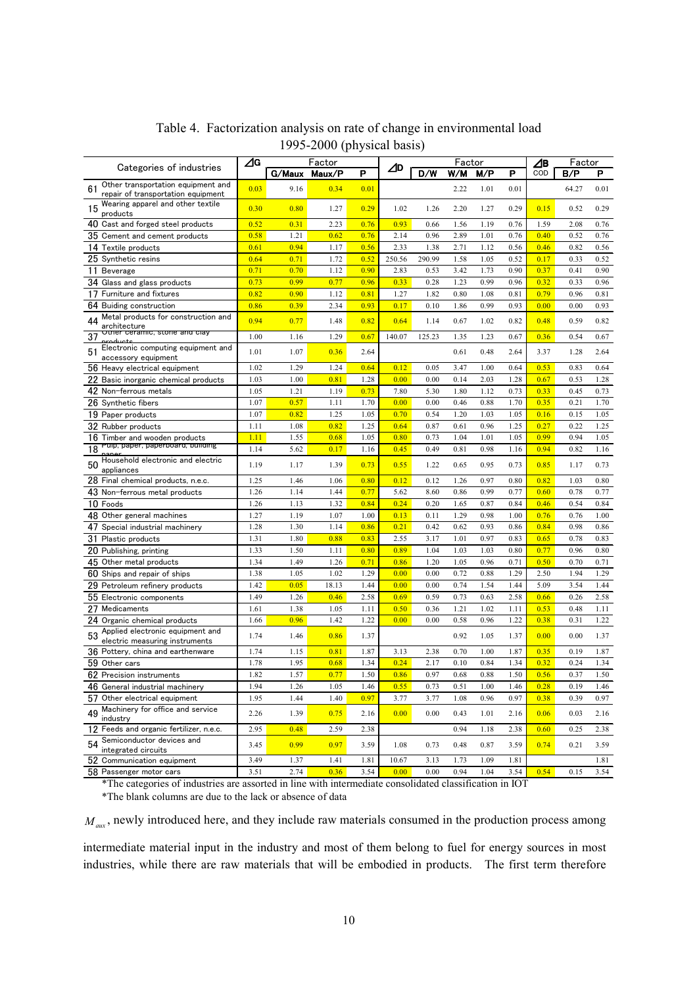|                                                                                | ⊿G<br>Factor |               |              |              |        | Factor |              |              |              | Factor       |              |              |
|--------------------------------------------------------------------------------|--------------|---------------|--------------|--------------|--------|--------|--------------|--------------|--------------|--------------|--------------|--------------|
| Categories of industries                                                       |              | G/Maux Maux/P |              | P            | ⊿D     | D/W    | W/M          | M/P          | P            | ⊿в<br>COD    | B/P          | P            |
| Other transportation equipment and<br>61<br>repair of transportation equipment | 0.03         | 9.16          | 0.34         | 0.01         |        |        | 2.22         | 1.01         | 0.01         |              | 64.27        | 0.01         |
| Wearing apparel and other textile<br>15<br>products                            | 0.30         | 0.80          | 1.27         | 0.29         | 1.02   | 1.26   | 2.20         | 1.27         | 0.29         | 0.15         | 0.52         | 0.29         |
| 40 Cast and forged steel products                                              | 0.52         | 0.31          | 2.23         | 0.76         | 0.93   | 0.66   | 1.56         | 1.19         | 0.76         | 1.59         | 2.08         | 0.76         |
| 35 Cement and cement products                                                  | 0.58         | 1.21          | 0.62         | 0.76         | 2.14   | 0.96   | 2.89         | 1.01         | 0.76         | 0.40         | 0.52         | 0.76         |
| 14 Textile products                                                            | 0.61         | 0.94          | 1.17         | 0.56         | 2.33   | 1.38   | 2.71         | 1.12         | 0.56         | 0.46         | 0.82         | 0.56         |
| 25 Synthetic resins                                                            | 0.64         | 0.71          | 1.72         | 0.52         | 250.56 | 290.99 | 1.58         | 1.05         | 0.52         | 0.17         | 0.33         | 0.52         |
| <b>Beverage</b><br>11                                                          | 0.71         | 0.70          | 1.12         | 0.90         | 2.83   | 0.53   | 3.42         | 1.73         | 0.90         | 0.37         | 0.41         | 0.90         |
| 34 Glass and glass products                                                    | 0.73         | 0.99          | 0.77         | 0.96         | 0.33   | 0.28   | 1.23         | 0.99         | 0.96         | 0.32         | 0.33         | 0.96         |
| Furniture and fixtures<br>17                                                   | 0.82         | 0.90          | 1.12         | 0.81         | 1.27   | 1.82   | 0.80         | 1.08         | 0.81         | 0.79         | 0.96         | 0.81         |
| 64 Buiding construction                                                        | 0.86         | 0.39          | 2.34         | 0.93         | 0.17   | 0.10   | 1.86         | 0.99         | 0.93         | 0.00         | 0.00         | 0.93         |
| Metal products for construction and<br>44<br>architecture                      | 0.94         | 0.77          | 1.48         | 0.82         | 0.64   | 1.14   | 0.67         | 1.02         | 0.82         | 0.48         | 0.59         | 0.82         |
| Uther ceramic, stone and clay<br>37                                            | 1.00         | 1.16          | 1.29         | 0.67         | 140.07 | 125.23 | 1.35         | 1.23         | 0.67         | 0.36         | 0.54         | 0.67         |
| Electronic computing equipment and<br>51<br>accessory equipment                | 1.01         | 1.07          | 0.36         | 2.64         |        |        | 0.61         | 0.48         | 2.64         | 3.37         | 1.28         | 2.64         |
| 56 Heavy electrical equipment                                                  | 1.02         | 1.29          | 1.24         | 0.64         | 0.12   | 0.05   | 3.47         | 1.00         | 0.64         | 0.53         | 0.83         | 0.64         |
| 22 Basic inorganic chemical products                                           | 1.03         | 1.00          | 0.81         | 1.28         | 0.00   | 0.00   | 0.14         | 2.03         | 1.28         | 0.67         | 0.53         | 1.28         |
| 42 Non-ferrous metals                                                          | 1.05         | 1.21          | 1.19         | 0.73         | 7.80   | 5.30   | 1.80         | 1.12         | 0.73         | 0.33         | 0.45         | 0.73         |
| 26 Synthetic fibers                                                            | 1.07         | 0.57          | 1.11         | 1.70         | 0.00   | 0.00   | 0.46         | 0.88         | 1.70         | 0.35         | 0.21         | 1.70         |
| 19 Paper products                                                              | 1.07         | 0.82          | 1.25         | 1.05         | 0.70   | 0.54   | 1.20         | 1.03         | 1.05         | 0.16         | 0.15         | 1.05         |
| 32 Rubber products                                                             | 1.11         | 1.08          | 0.82         | 1.25         | 0.64   | 0.87   | 0.61         | 0.96         | 1.25         | 0.27         | 0.22         | 1.25         |
| 16 Timber and wooden products                                                  | 1.11         | 1.55          | 0.68         | 1.05         | 0.80   | 0.73   | 1.04         | 1.01         | 1.05         | 0.99         | 0.94         | 1.05         |
| Puip, paper, paperboard, building<br>18                                        | 1.14         | 5.62          | 0.17         | 1.16         | 0.45   | 0.49   | 0.81         | 0.98         | 1.16         | 0.94         | 0.82         | 1.16         |
| Household electronic and electric<br>50<br>appliances                          | 1.19         | 1.17          | 1.39         | 0.73         | 0.55   | 1.22   | 0.65         | 0.95         | 0.73         | 0.85         | 1.17         | 0.73         |
| 28 Final chemical products, n.e.c.                                             | 1.25         | 1.46          | 1.06         | 0.80         | 0.12   | 0.12   | 1.26         | 0.97         | 0.80         | 0.82         | 1.03         | 0.80         |
| 43 Non-ferrous metal products                                                  | 1.26         | 1.14          | 1.44         | 0.77         | 5.62   | 8.60   | 0.86         | 0.99         | 0.77         | 0.60         | 0.78         | 0.77         |
| 10 Foods                                                                       | 1.26         | 1.13          | 1.32         | 0.84         | 0.24   | 0.20   | 1.65         | 0.87         | 0.84         | 0.46         | 0.54         | 0.84         |
| 48 Other general machines                                                      | 1.27         | 1.19          | 1.07         | 1.00         | 0.13   | 0.11   | 1.29         | 0.98         | 1.00         | 0.76         | 0.76         | 1.00         |
| 47 Special industrial machinery                                                | 1.28         | 1.30          | 1.14         | 0.86         | 0.21   | 0.42   | 0.62         | 0.93         | 0.86         | 0.84         | 0.98         | 0.86         |
| 31<br>Plastic products                                                         | 1.31         | 1.80          | 0.88         | 0.83         | 2.55   | 3.17   | 1.01         | 0.97         | 0.83         | 0.65         | 0.78         | 0.83         |
| 20 Publishing, printing                                                        | 1.33         | 1.50          | 1.11         | 0.80         | 0.89   | 1.04   | 1.03         | 1.03         | 0.80         | 0.77         | 0.96         | 0.80         |
| 45 Other metal products                                                        | 1.34         | 1.49          | 1.26         | 0.71         | 0.86   | 1.20   | 1.05         | 0.96         | 0.71         | 0.50         | 0.70         | 0.71         |
| 60 Ships and repair of ships                                                   | 1.38         | 1.05          | 1.02         | 1.29         | 0.00   | 0.00   | 0.72         | 0.88         | 1.29         | 2.50         | 1.94         | 1.29         |
| 29<br>Petroleum refinery products                                              | 1.42         | 0.05          | 18.13        | 1.44         | 0.00   | 0.00   | 0.74         | 1.54         | 1.44         | 5.09         | 3.54         | 1.44         |
| 55 Electronic components                                                       | 1.49         | 1.26          | 0.46         | 2.58         | 0.69   | 0.59   | 0.73         | 0.63         | 2.58         | 0.66         | 0.26         | 2.58         |
| Medicaments<br>27                                                              | 1.61         | 1.38          | 1.05         | 1.11         | 0.50   | 0.36   | 1.21         | 1.02         | 1.11         | 0.53         | 0.48         | 1.11         |
| 24<br>Organic chemical products<br>Applied electronic equipment and<br>53      | 1.66<br>1.74 | 0.96<br>1.46  | 1.42<br>0.86 | 1.22<br>1.37 | 0.00   | 0.00   | 0.58<br>0.92 | 0.96<br>1.05 | 1.22<br>1.37 | 0.38<br>0.00 | 0.31<br>0.00 | 1.22<br>1.37 |
| electric measuring instruments                                                 |              |               |              |              |        |        |              |              |              |              |              |              |
| 36 Pottery, china and earthenware                                              | 1.74         | 1.15          | 0.81         | 1.87         | 3.13   | 2.38   | 0.70         | 1.00         | 1.87         | 0.35         | 0.19         | 1.87         |
| 59 Other cars                                                                  | 1.78         | 1.95          | 0.68         | 1.34         | 0.24   | 2.17   | 0.10         | 0.84         | 1.34         | 0.32         | 0.24         | 1.34         |
| 62 Precision instruments                                                       | 1.82         | 1.57          | 0.77         | 1.50         | 0.86   | 0.97   | 0.68         | 0.88         | 1.50         | 0.56         | 0.37         | 1.50         |
| 46 General industrial machinery<br>57 Other electrical equipment               | 1.94         | 1.26          | 1.05         | 1.46         | 0.55   | 0.73   | 0.51         | 1.00         | 1.46         | 0.28         | 0.19         | 1.46         |
| 49 Machinery for office and service                                            | 1.95         | 1.44          | 1.40         | 0.97         | 3.77   | 3.77   | 1.08         | 0.96         | 0.97         | 0.38         | 0.39         | 0.97         |
| industry                                                                       | 2.26         | 1.39          | 0.75         | 2.16         | 0.00   | 0.00   | 0.43         | 1.01         | 2.16         | 0.06         | 0.03         | 2.16         |
| 12 Feeds and organic fertilizer, n.e.c.                                        | 2.95         | 0.48          | 2.59         | 2.38         |        |        | 0.94         | 1.18         | 2.38         | 0.60         | 0.25         | 2.38         |
| 54 Semiconductor devices and<br>integrated circuits                            | 3.45         | 0.99          | 0.97         | 3.59         | 1.08   | 0.73   | 0.48         | 0.87         | 3.59         | 0.74         | 0.21         | 3.59         |
| 52 Communication equipment                                                     | 3.49         | 1.37          | 1.41         | 1.81         | 10.67  | 3.13   | 1.73         | 1.09         | 1.81         |              |              | 1.81         |
| 58 Passenger motor cars                                                        | 3.51         | 2.74          | 0.36         | 3.54         | 0.00   | 0.00   | 0.94         | 1.04         | 3.54         | 0.54         | 0.15         | 3.54         |

## Table 4. Factorization analysis on rate of change in environmental load 1995-2000 (physical basis)

\*The categories of industries are assorted in line with intermediate consolidated classification in IOT

\*The blank columns are due to the lack or absence of data

 $M_{\text{aux}}$ , newly introduced here, and they include raw materials consumed in the production process among

intermediate material input in the industry and most of them belong to fuel for energy sources in most industries, while there are raw materials that will be embodied in products. The first term therefore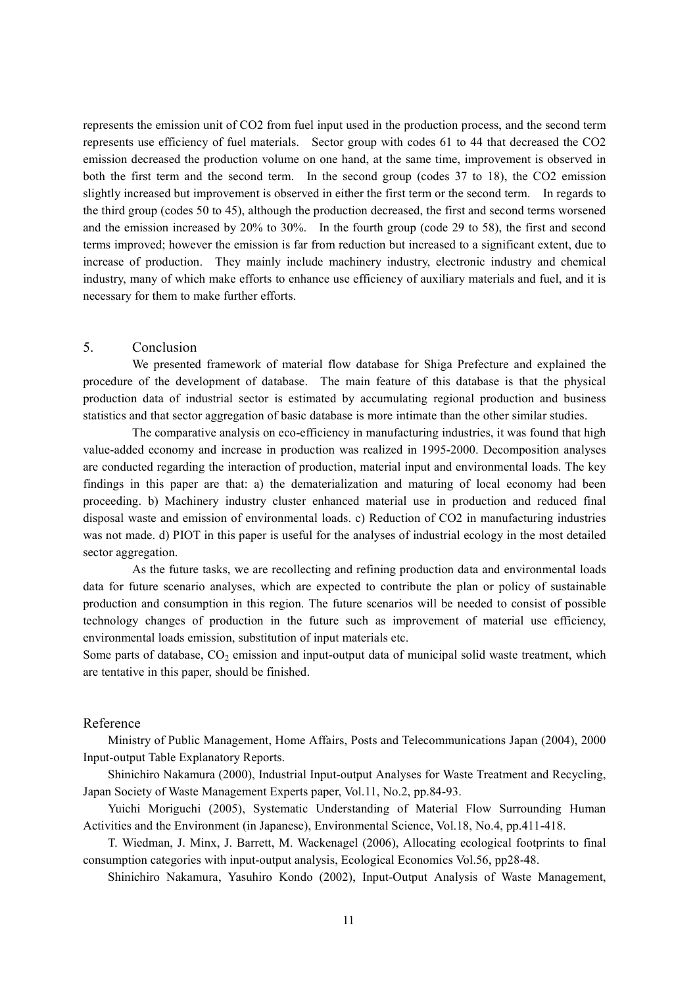represents the emission unit of CO2 from fuel input used in the production process, and the second term represents use efficiency of fuel materials. Sector group with codes 61 to 44 that decreased the CO2 emission decreased the production volume on one hand, at the same time, improvement is observed in both the first term and the second term. In the second group (codes 37 to 18), the CO2 emission slightly increased but improvement is observed in either the first term or the second term. In regards to the third group (codes 50 to 45), although the production decreased, the first and second terms worsened and the emission increased by 20% to 30%. In the fourth group (code 29 to 58), the first and second terms improved; however the emission is far from reduction but increased to a significant extent, due to increase of production. They mainly include machinery industry, electronic industry and chemical industry, many of which make efforts to enhance use efficiency of auxiliary materials and fuel, and it is necessary for them to make further efforts.

## 5. Conclusion

We presented framework of material flow database for Shiga Prefecture and explained the procedure of the development of database. The main feature of this database is that the physical production data of industrial sector is estimated by accumulating regional production and business statistics and that sector aggregation of basic database is more intimate than the other similar studies.

The comparative analysis on eco-efficiency in manufacturing industries, it was found that high value-added economy and increase in production was realized in 1995-2000. Decomposition analyses are conducted regarding the interaction of production, material input and environmental loads. The key findings in this paper are that: a) the dematerialization and maturing of local economy had been proceeding. b) Machinery industry cluster enhanced material use in production and reduced final disposal waste and emission of environmental loads. c) Reduction of CO2 in manufacturing industries was not made. d) PIOT in this paper is useful for the analyses of industrial ecology in the most detailed sector aggregation.

As the future tasks, we are recollecting and refining production data and environmental loads data for future scenario analyses, which are expected to contribute the plan or policy of sustainable production and consumption in this region. The future scenarios will be needed to consist of possible technology changes of production in the future such as improvement of material use efficiency, environmental loads emission, substitution of input materials etc.

Some parts of database, CO<sub>2</sub> emission and input-output data of municipal solid waste treatment, which are tentative in this paper, should be finished.

### Reference

Ministry of Public Management, Home Affairs, Posts and Telecommunications Japan (2004), 2000 Input-output Table Explanatory Reports.

Shinichiro Nakamura (2000), Industrial Input-output Analyses for Waste Treatment and Recycling, Japan Society of Waste Management Experts paper, Vol.11, No.2, pp.84-93.

Yuichi Moriguchi (2005), Systematic Understanding of Material Flow Surrounding Human Activities and the Environment (in Japanese), Environmental Science, Vol.18, No.4, pp.411-418.

T. Wiedman, J. Minx, J. Barrett, M. Wackenagel (2006), Allocating ecological footprints to final consumption categories with input-output analysis, Ecological Economics Vol.56, pp28-48.

Shinichiro Nakamura, Yasuhiro Kondo (2002), Input-Output Analysis of Waste Management,